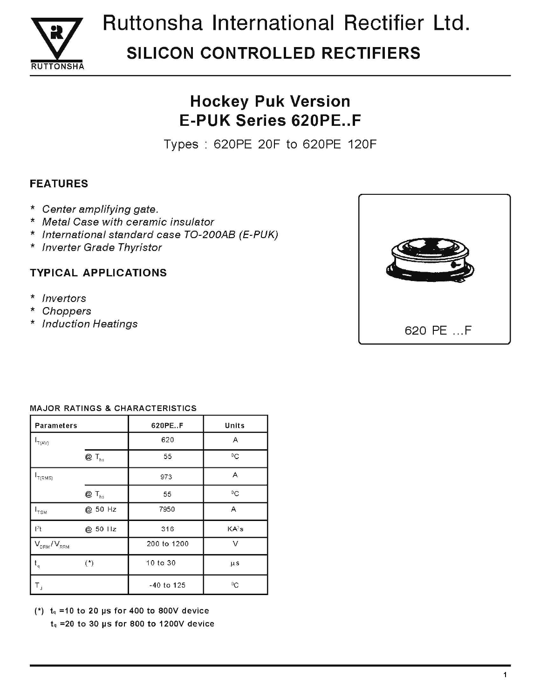

# Ruttonsha International Rectifier Ltd. **SILICON CONTROLLED RECTIFIERS**

## **Hockey Puk Version E-PUK Series 620PE..F**

Types: 620PE 20F to 620PE 120F

### **FEATURES**

- \* Center amplifying gate.
- \* Metal Case with ceramic insulator
- \* International standard case TO-200AB (E-PUK)
- \* Inverter Grade Thyristor

### **TYPICAL APPLICATIONS**

- \* Invertors
- Choppers  $\star$
- \* Induction Heatings



#### **MAJOR RATINGS & CHARACTERISTICS**

| <b>Parameters</b>             |                            | 620PE.F      | Units             |  |
|-------------------------------|----------------------------|--------------|-------------------|--|
| T(AV)                         |                            | 620          | Α                 |  |
|                               | $Q \mathsf{T}_{\text{hs}}$ | 55           | $\rm ^{0}C$       |  |
| T(RMS)                        |                            | 973          | Α                 |  |
|                               | $@T_{hs}$                  | 55           | $^0C$             |  |
| $I_{\text{TSM}}$              | @ 50 Hz                    | 7950         | Α                 |  |
| $l^2t$                        | @ 50 Hz                    | 316          | KA <sup>2</sup> s |  |
| $V_{DRM}/V_{RRM}$             |                            | 200 to 1200  | $\vee$            |  |
| $\mathfrak{t}_{\mathfrak{q}}$ | $(*)$                      | 10 to 30     | $\mu$ s           |  |
| $\mathsf{T}_\mathsf{J}$       |                            | $-40$ to 125 | $\rm ^{0}C$       |  |

(\*)  $t_q = 10$  to 20 µs for 400 to 800V device

 $t_q$  =20 to 30 µs for 800 to 1200V device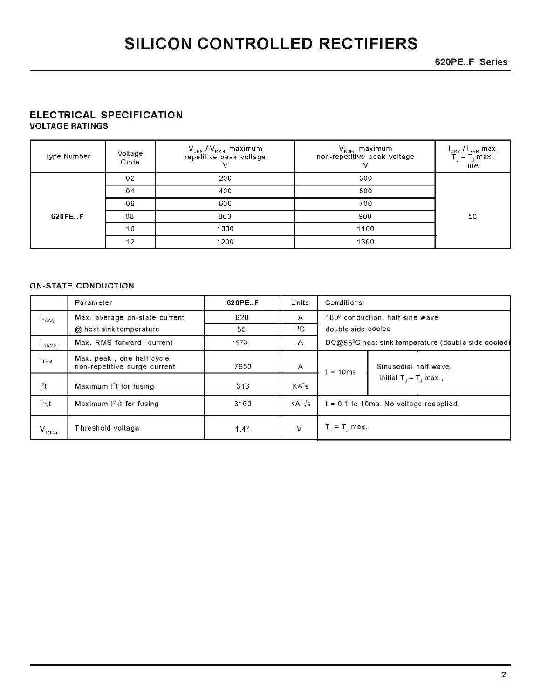620PE..F Series

#### ELECTRICAL SPECIFICATION **VOLTAGE RATINGS**

| Type Number | Voltage<br>Code | $\rm V_{_{DRM}}$ / $\rm V_{_{RRM}}$ , maximum<br>repetitive peak voltage | $\bm{\mathsf{V}}_{\mathsf{RSM}}$ , maximum<br>non-repetitive peak voltage | I <sub>DRM</sub> / I <sub>RRM</sub> max.<br>$= T, max.$<br><b>mA</b> |
|-------------|-----------------|--------------------------------------------------------------------------|---------------------------------------------------------------------------|----------------------------------------------------------------------|
|             | 02              | 200                                                                      | 300                                                                       |                                                                      |
|             | 04              | 400                                                                      | 500                                                                       |                                                                      |
|             | 06              | 600                                                                      | 700                                                                       |                                                                      |
| 620PEF      | 08              | 800                                                                      | 900                                                                       | 50                                                                   |
|             | 10              | 1000                                                                     | 1100                                                                      |                                                                      |
|             | 12              | 1200                                                                     | 1300                                                                      |                                                                      |

#### **ON-STATE CONDUCTION**

|                                         | Parameter                                                 | 620PE.F | <b>Units</b>      | Conditions         |                                                                 |
|-----------------------------------------|-----------------------------------------------------------|---------|-------------------|--------------------|-----------------------------------------------------------------|
| T(AV)                                   | Max. average on-state current                             | 620     | Α                 |                    | $1800$ conduction, half sine wave                               |
|                                         | @ heat sink temperature                                   | 55      | ${}^{0}C$         | double side cooled |                                                                 |
| $\mathsf{I}_{\mathsf{T}(\mathsf{RMS})}$ | Max. RMS forward current                                  | .973    | A                 |                    | DC@55 <sup>0</sup> C heat sink temperature (double side cooled) |
| $I_{\rm TSM}$                           | Max. peak, one half cycle<br>non-repetitive surge current | 7950    | Α                 | $= 10ms$           | Sinusodial half wave,                                           |
| $ ^{2}t$                                | Maximum $12$ t for fusing                                 | 316     | KA <sup>2</sup> s |                    | Initial $T_1 = T_1$ max.,                                       |
| $1^2 \sqrt{t}$                          | Maximum $12\sqrt{t}$ for fusing                           | 3160    | $KA^2\sqrt{s}$    |                    | $t = 0.1$ to 10ms. No voltage reapplied.                        |
| $V_{\tau(\tau o)}$                      | Threshold voltage                                         | 1.44    | $\vee$            | $T_i = T_i$ max.   |                                                                 |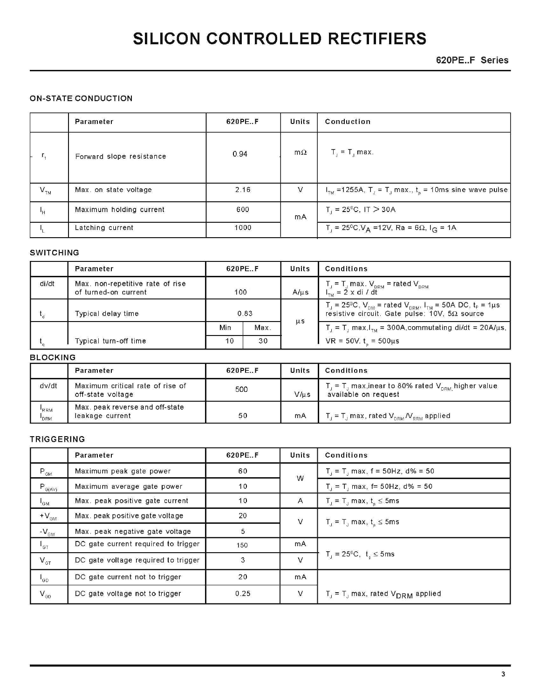620PE.F Series

#### **ON-STATE CONDUCTION**

|                | Parameter                | 620PE.F | <b>Units</b> | Conduction                                                                                 |
|----------------|--------------------------|---------|--------------|--------------------------------------------------------------------------------------------|
| $r_{\rm t}$    | Forward slope resistance | 0.94    | $m\Omega$    | $T_{\rm J}$ = $T_{\rm J}$ max.                                                             |
| $V_{\tau_{M}}$ | Max. on state voltage    | 2.16    | V            | $ITM$ =1255A, T <sub>J</sub> = T <sub>J</sub> max., t <sub>p</sub> = 10ms sine wave pulse  |
| $\mathsf{H}$   | Maximum holding current  | 600     | mA           | $T_1 = 25^{\circ}$ C, IT $> 30$ A                                                          |
|                | Latching current         | 1000    |              | $T_{\rm d}$ = 25 <sup>o</sup> C,V <sub>A</sub> =12V, Ra = 6 $\Omega$ , I <sub>G</sub> = 1A |

#### **SWITCHING**

|       | Parameter                                                |      | 620PE.F |           | Conditions                                                                                                                                                                      |
|-------|----------------------------------------------------------|------|---------|-----------|---------------------------------------------------------------------------------------------------------------------------------------------------------------------------------|
| di/dt | Max. non-repetitive rate of rise<br>of turned-on current | 100  |         | $A/\mu s$ | $T_{\rm J}$ = $T_{\rm J}$ max. $V_{\rm DRM}$ = rated $V_{\rm DRM}$<br>$I_{\text{rad}} = 2 \times di / dt$                                                                       |
|       | Typical delay time                                       | 0.83 |         | $\mu s$   | $T_{\rm J}$ = 25 <sup>o</sup> C, $V_{\rm DM}$ = rated $V_{\rm DRM}$ , $I_{\rm TM}$ = 50A DC, $t_{\rm p}$ = 1 $\mu$ s<br>resistive circuit. Gate pulse: $10V$ , $5\Omega$ source |
|       |                                                          | Min  | Max.    |           | $T_{\text{J}} = T_{\text{J}}$ max, $I_{\text{TM}} = 300$ A, commutating di/dt = 20A/ $\mu$ s,                                                                                   |
|       | Typical turn-off time                                    | 10   | 30      |           | $VR = 50V$ . $t = 500 \mu s$                                                                                                                                                    |

#### **BLOCKING**

|                   | Parameter                                             | 620PE.F | <b>Units</b> | <b>Conditions</b>                                                                                                                                        |
|-------------------|-------------------------------------------------------|---------|--------------|----------------------------------------------------------------------------------------------------------------------------------------------------------|
| dv/dt             | Maximum critical rate of rise of<br>off-state voltage | 500     | $V/\mu s$    | $\mathcal{L}_\mathrm{r}$ = T $_\mathrm{n}$ max,inear to 80% rated $\mathsf{V}_\mathrm{DRM}$ higher value $\mathsf{R}_\mathrm{R}$<br>available on request |
| <b>RRM</b><br>DRM | Max. peak reverse and off-state<br>leakage current    | 50      | mA           | $T_{\rm d}$ = T <sub>a</sub> max, rated $V_{\rm DRM}$ $N_{\rm RRM}$ applied                                                                              |

#### TRIGGERING

|                                              | Parameter                           | 620PE.F | Units  | <b>Conditions</b>                                           |
|----------------------------------------------|-------------------------------------|---------|--------|-------------------------------------------------------------|
| $\mathsf{P}_{\mathsf{GM}}$                   | Maximum peak gate power             | 60      | W      | $T_1 = T_1$ max, f = 50Hz, d% = 50                          |
| $P_{G(A\vee)}$                               | Maximum average gate power          | 10      |        | $T_1 = T_1$ max, f= 50Hz, d% = 50                           |
| $I_{GM}$                                     | Max. peak positive gate current     | 10      | A      | $T_{\text{J}} = T_{\text{J}}$ max, $t_{\text{n}} \leq 5$ ms |
| $+V_{\text{GM}}$                             | Max. peak positive gate voltage     | 20      | $\vee$ | $T_{j} = T_{j}$ max, $t_{p} \le 5$ ms                       |
| $-V_{\text{GM}}$                             | Max. peak negative gate voltage     | 5       |        |                                                             |
| $\mathsf{I}_{\mathsf{GT}}$                   | DC gate current required to trigger | 150     | mA     |                                                             |
| $V_{\text{GT}}$                              | DC gate voltage required to trigger | 3       | V      | $T_{d} = 25^{0}C, t_{n} \le 5$ ms                           |
| $I_{\texttt{GD}}$                            | DC gate current not to trigger      | 20      | mA     |                                                             |
| $\mathsf{V}_{\scriptscriptstyle\mathsf{GD}}$ | DC gate voltage not to trigger      | 0.25    | V      | $T_{J}$ = T <sub>J</sub> max, rated $V_{DRM}$ applied       |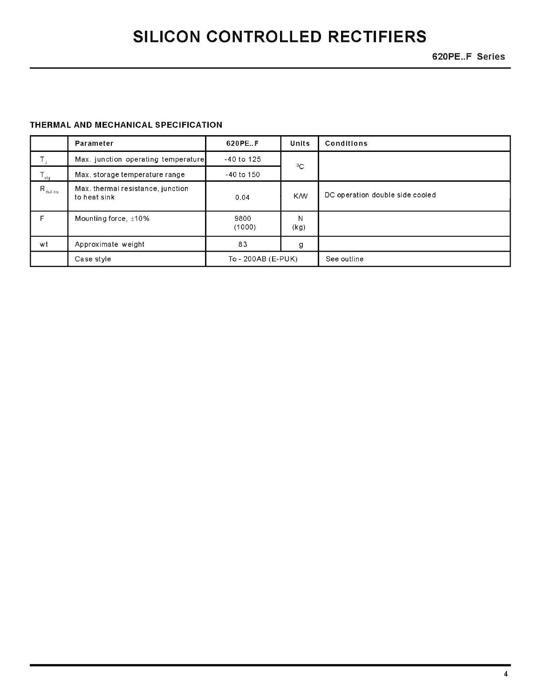620PE.F Series

#### THERMAL AND MECHANICAL SPECIFICATION

|                              | Parameter                                         | 620PE.F            | Units      | <b>Conditions</b>               |
|------------------------------|---------------------------------------------------|--------------------|------------|---------------------------------|
|                              | Max. junction operating temperature               | $-40$ to 125       | $^{0}C$    |                                 |
| $T_{\rm stg}$                | Max. storage temperature range                    | $-40$ to $150$     |            |                                 |
| $\mathsf{R}_{\text{thJ-hs}}$ | Max. thermal resistance, junction<br>to heat sink | 0.04               | <b>K/W</b> | DC operation double side cooled |
| F                            | Mounting force, $\pm 10\%$                        | 9800<br>(1000)     | И<br>(kg)  |                                 |
| wt                           | Approximate weight                                | 83                 | g          |                                 |
|                              | Case style                                        | To - 200AB (E-PUK) |            | See outline                     |

4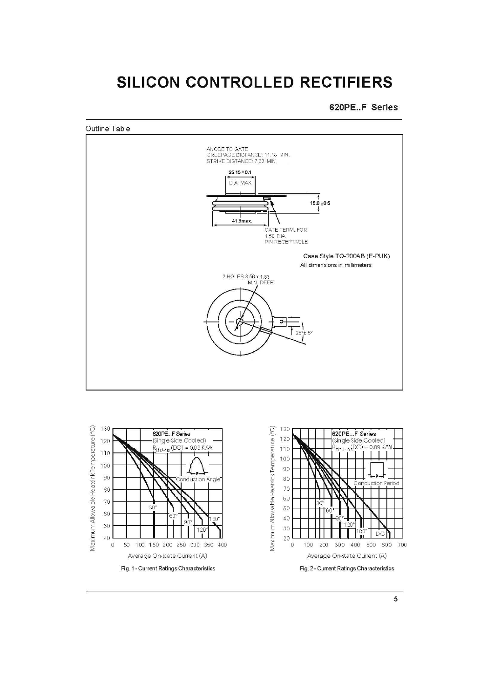620PE..F Series

Outline Table





 $\mathfrak{h}$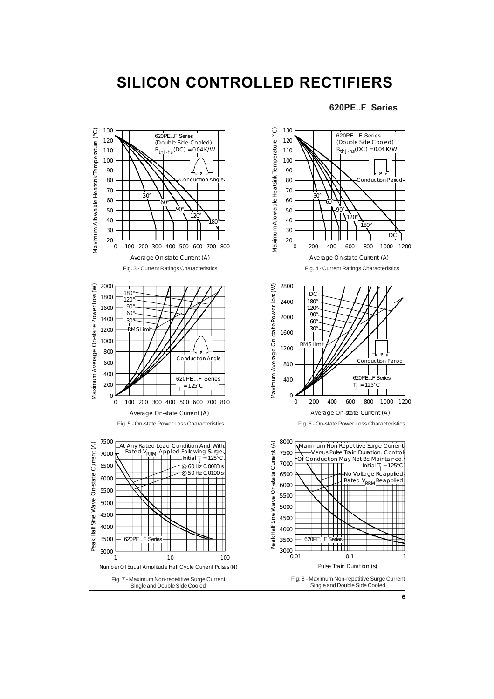#### **620PE..F Series**



**6**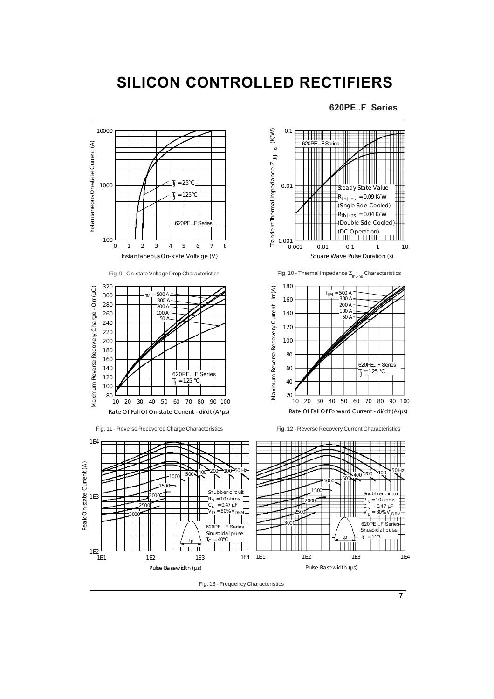**620PE..F Series**

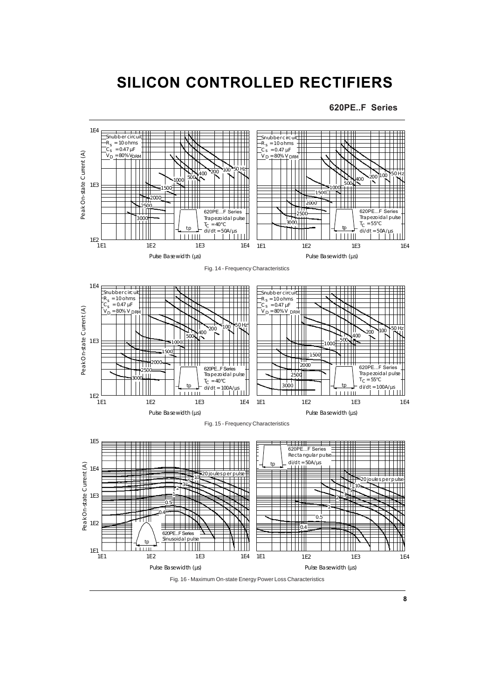**620PE..F Series**